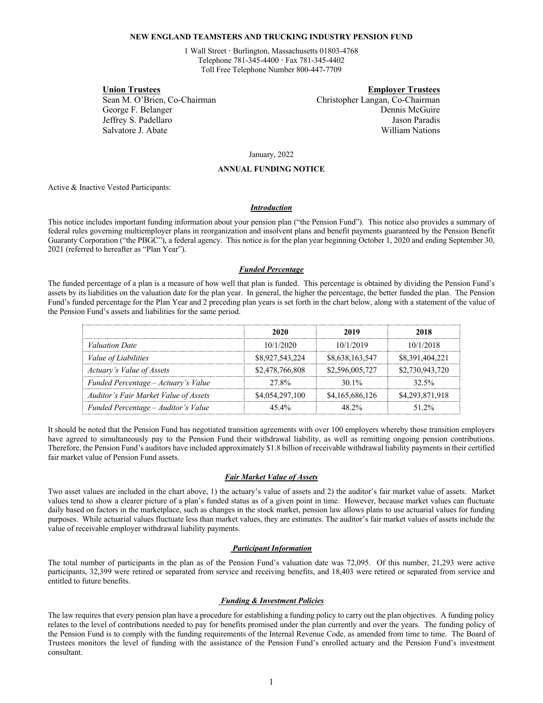## **NEW ENGLAND TEAMSTERS AND TRUCKING INDUSTRY PENSION FUND**

1 Wall Street **·** Burlington, Massachusetts 01803-4768 Telephone 781-345-4400 **·** Fax 781-345-4402 Toll Free Telephone Number 800-447-7709

**Union Trustees Employer Trustees** Sean M. O'Brien, Co-Chairman Christopher Langan, Co-Chairman Co-Chairman Christopher Langan, Co-Chairman George F. Belanger **Dennis McGuire** Dennis McGuire Jeffrey S. Padellaro Jason Paradis Salvatore J. Abate William Nations

January, 2022

### **ANNUAL FUNDING NOTICE**

Active & Inactive Vested Participants:

### *Introduction*

This notice includes important funding information about your pension plan ("the Pension Fund"). This notice also provides a summary of federal rules governing multiemployer plans in reorganization and insolvent plans and benefit payments guaranteed by the Pension Benefit Guaranty Corporation ("the PBGC"), a federal agency. This notice is for the plan year beginning October 1, 2020 and ending September 30, 2021 (referred to hereafter as "Plan Year").

### *Funded Percentage*

The funded percentage of a plan is a measure of how well that plan is funded. This percentage is obtained by dividing the Pension Fund's assets by its liabilities on the valuation date for the plan year. In general, the higher the percentage, the better funded the plan. The Pension Fund's funded percentage for the Plan Year and 2 preceding plan years is set forth in the chart below, along with a statement of the value of the Pension Fund's assets and liabilities for the same period.

|                                       | 2020            | 2019            | 2018            |
|---------------------------------------|-----------------|-----------------|-----------------|
| <i>Valuation Date</i>                 | 10/1/2020       | 10/1/2019       | 10/1/2018       |
| <i>Value of Liabilities</i>           | \$8,927,543,224 | \$8,638,163,547 | \$8,391,404,221 |
| Actuary's Value of Assets             | \$2,478,766,808 | \$2,596,005,727 | \$2,730,943,720 |
| Funded Percentage – Actuary's Value   | 27.8%           | 30.1\%          | $32.5\%$        |
| Auditor's Fair Market Value of Assets | \$4,054,297,100 | \$4,165,686,126 | \$4,293,871,918 |
| Funded Percentage – Auditor's Value   | $45.4\%$        | 48.2%           | 51.2%           |

It should be noted that the Pension Fund has negotiated transition agreements with over 100 employers whereby those transition employers have agreed to simultaneously pay to the Pension Fund their withdrawal liability, as well as remitting ongoing pension contributions. Therefore, the Pension Fund's auditors have included approximately \$1.8 billion of receivable withdrawal liability payments in their certified fair market value of Pension Fund assets.

## *Fair Market Value of Assets*

Two asset values are included in the chart above, 1) the actuary's value of assets and 2) the auditor's fair market value of assets. Market values tend to show a clearer picture of a plan's funded status as of a given point in time. However, because market values can fluctuate daily based on factors in the marketplace, such as changes in the stock market, pension law allows plans to use actuarial values for funding purposes. While actuarial values fluctuate less than market values, they are estimates. The auditor's fair market values of assets include the value of receivable employer withdrawal liability payments.

### *Participant Information*

The total number of participants in the plan as of the Pension Fund's valuation date was 72,095. Of this number, 21,293 were active participants, 32,399 were retired or separated from service and receiving benefits, and 18,403 were retired or separated from service and entitled to future benefits.

#### *Funding & Investment Policies*

The law requires that every pension plan have a procedure for establishing a funding policy to carry out the plan objectives. A funding policy relates to the level of contributions needed to pay for benefits promised under the plan currently and over the years. The funding policy of the Pension Fund is to comply with the funding requirements of the Internal Revenue Code, as amended from time to time. The Board of Trustees monitors the level of funding with the assistance of the Pension Fund's enrolled actuary and the Pension Fund's investment consultant.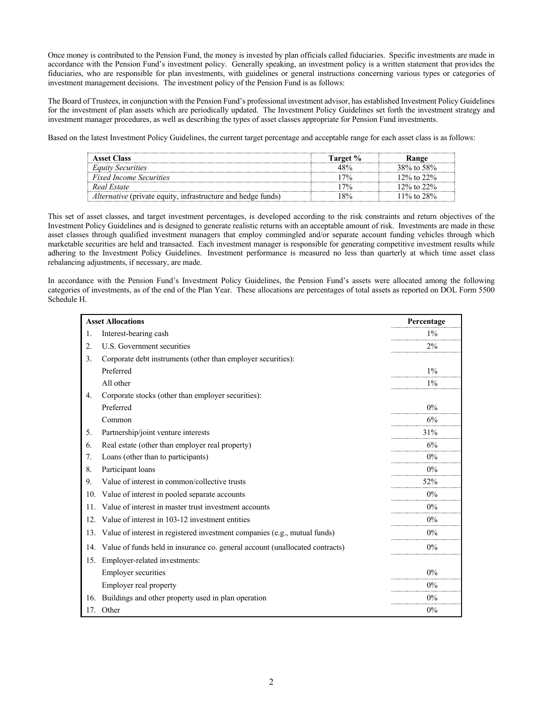Once money is contributed to the Pension Fund, the money is invested by plan officials called fiduciaries. Specific investments are made in accordance with the Pension Fund's investment policy. Generally speaking, an investment policy is a written statement that provides the fiduciaries, who are responsible for plan investments, with guidelines or general instructions concerning various types or categories of investment management decisions. The investment policy of the Pension Fund is as follows:

The Board of Trustees, in conjunction with the Pension Fund's professional investment advisor, has established Investment Policy Guidelines for the investment of plan assets which are periodically updated. The Investment Policy Guidelines set forth the investment strategy and investment manager procedures, as well as describing the types of asset classes appropriate for Pension Fund investments.

Based on the latest Investment Policy Guidelines, the current target percentage and acceptable range for each asset class is as follows:

| <b>Asset Class</b>                                                  | Target % | łange            |
|---------------------------------------------------------------------|----------|------------------|
| <b>Equity Securities</b>                                            |          | 38% to 58%       |
| <b>Fixed Income Securities</b>                                      | 70/      | 12\% to 22\%     |
| Real Estate                                                         | 7%       | $12\%$ to $22\%$ |
| <i>Alternative</i> (private equity, infrastructure and hedge funds) | 8%       | $11\%$ to 28%    |

This set of asset classes, and target investment percentages, is developed according to the risk constraints and return objectives of the Investment Policy Guidelines and is designed to generate realistic returns with an acceptable amount of risk. Investments are made in these asset classes through qualified investment managers that employ commingled and/or separate account funding vehicles through which marketable securities are held and transacted. Each investment manager is responsible for generating competitive investment results while adhering to the Investment Policy Guidelines. Investment performance is measured no less than quarterly at which time asset class rebalancing adjustments, if necessary, are made.

In accordance with the Pension Fund's Investment Policy Guidelines, the Pension Fund's assets were allocated among the following categories of investments, as of the end of the Plan Year. These allocations are percentages of total assets as reported on DOL Form 5500 Schedule H.

| <b>Asset Allocations</b> |                                                                              | Percentage |
|--------------------------|------------------------------------------------------------------------------|------------|
| 1.                       | Interest-bearing cash                                                        | $1\%$      |
| 2.                       | U.S. Government securities                                                   | $2\%$      |
| 3.                       | Corporate debt instruments (other than employer securities):                 |            |
|                          | Preferred                                                                    | $1\%$      |
|                          | All other                                                                    | $1\%$      |
| 4.                       | Corporate stocks (other than employer securities):                           |            |
|                          | Preferred                                                                    | $0\%$      |
|                          | Common                                                                       | 6%         |
| 5.                       | Partnership/joint venture interests                                          | 31%        |
| 6.                       | Real estate (other than employer real property)                              | 6%         |
| 7.                       | Loans (other than to participants)                                           | $0\%$      |
| 8.                       | Participant loans                                                            | $0\%$      |
| 9.                       | Value of interest in common/collective trusts                                | 52%        |
| 10.                      | Value of interest in pooled separate accounts                                | $0\%$      |
| 11.                      | Value of interest in master trust investment accounts                        | $0\%$      |
| 12.                      | Value of interest in 103-12 investment entities                              | $0\%$      |
| 13.                      | Value of interest in registered investment companies (e.g., mutual funds)    | $0\%$      |
| 14.                      | Value of funds held in insurance co. general account (unallocated contracts) | $0\%$      |
| 15.                      | Employer-related investments:                                                |            |
|                          | <b>Employer securities</b>                                                   | $0\%$      |
|                          | Employer real property                                                       | $0\%$      |
| 16.                      | Buildings and other property used in plan operation                          | $0\%$      |
|                          | 17. Other                                                                    | $0\%$      |